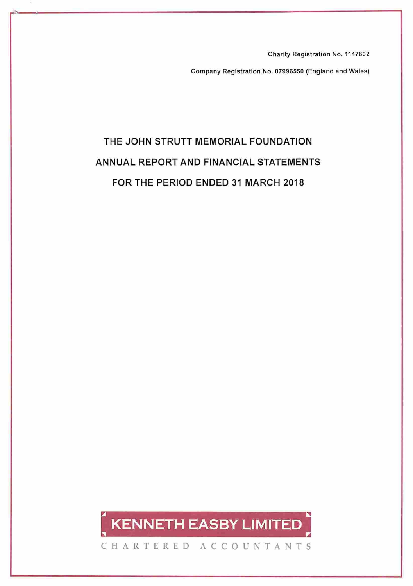Charity Registration No. 1147602

Company Registration No. 07996550 (England and Wales)

# THE JOHN STRUTT MEMORIAL FOUNDATION ANNUAL REPORT AND FINANCIAL STATEMENTS FOR THE PERIOD ENDED 31 MARCH 2018



CHARTERED ACCOUNTANTS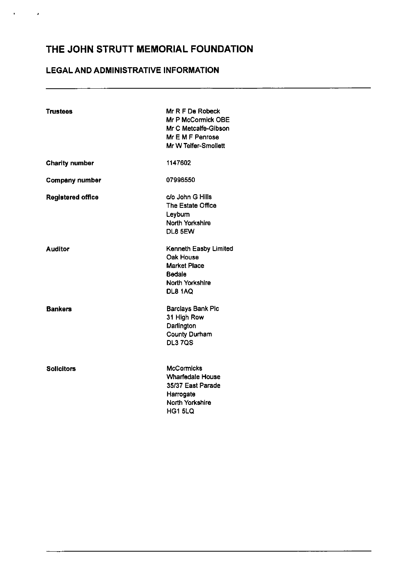### LEGAL AND ADMINISTRATIVE INFORMATION

 $\mathbf{r} = \mathbf{r} \times \mathbf{r}$ 

| <b>Trustees</b>          | Mr R F De Robeck<br>Mr P McCormick OBE<br>Mr C Metcalfe-Gibson<br>Mr E M F Penrose<br>Mr W Telfer-Smollett   |
|--------------------------|--------------------------------------------------------------------------------------------------------------|
| <b>Charity number</b>    | 1147602                                                                                                      |
| <b>Company number</b>    | 07996550                                                                                                     |
| <b>Registered office</b> | c/o John G Hills<br>The Estate Office<br>Leybum<br>North Yorkshire<br>DL8 5EW                                |
| Auditor                  | Kenneth Easby Limited<br>Oak House<br><b>Market Place</b><br><b>Bedale</b><br>North Yorkshire<br>DL8 1AQ     |
| <b>Bankers</b>           | <b>Barclays Bank Plc</b><br>31 High Row<br>Darlington<br><b>County Durham</b><br><b>DL37QS</b>               |
| <b>Solicitors</b>        | <b>McCormicks</b><br><b>Wharfedale House</b><br>35/37 East Parade<br>Harrogate<br>North Yorkshire<br>HG1 5LQ |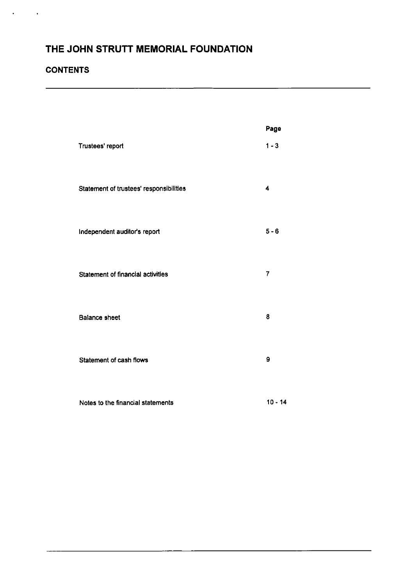### **CONTENTS**

 $\mathcal{A}^{\text{max}}_{\text{max}}$  and  $\mathcal{A}^{\text{max}}_{\text{max}}$ 

|                                         | Page                    |
|-----------------------------------------|-------------------------|
| Trustees' report                        | $1 - 3$                 |
| Statement of trustees' responsibilities | $\overline{\mathbf{4}}$ |
| Independent auditor's report            | $5 - 6$                 |
| Statement of financial activities       | 7                       |
| <b>Balance sheet</b>                    | 8                       |
| Statement of cash flows                 | 9                       |
| Notes to the financial statements       | $10 - 14$               |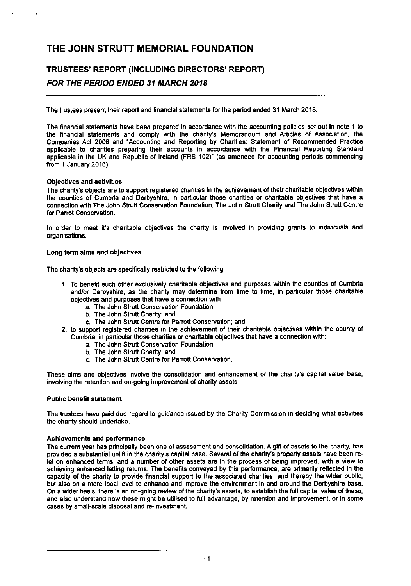## TRUSTEES' REPORT (INCLUDING DIRECTORS' REPORT) FOR THE PERIOD ENDED 31 MARCH 2018

The trustees present their report and financial statements for the period ended 31 March 2018.

The finandal statements have been prepared in accordance with the accounting policies set out in note 1 to the financial statements and comply with the charity's Memorandum and Articles of Association, the Companies Act 2006 and 'Accounting and Reporting by Charities: Statement of Recommended Practice applicable to charities preparing their accounts in accordance with the Financial Reporting Standard applicable in the UK and Repubfic of Ireland (FRS 102)' (as amended for accounting periods commencing from <sup>1</sup> January 2016).

### Objectives and activities

The charity's objects are to support registered charities In the achievement of their charitable objectives within the counties of Cumbrla and Derbyshire, in particular those charities or charitable objectives that have a connection with The John Strutt Conservation Foundation, The John Strutt Charity and The John Strutt Centre for Parrot Conservation.

In order to meet it's charitable objectives the charity is involved in providing grants to individuals and organlsatlons.

### Long term alms and objectives

The charity's objects are specifically restricted to the following:

- 1. To benefit such other exclusively charitable objectives and purposes within the counties of Cumbrla and/or Derbyshire, as the charity may determine from time to time, in particular those charitable objectives and purposes that have a connection with:
	- a. The John Strutt Conservation Foundation
	- b. The John Strutt Charity; and
	- c. The John Strutt Centre for Parrott Conservation; and
- 2. to support registered charities in the achievement of their charitable objectives within the county of Cumbria, in particular those charities or charitable objectives that have a connection with:
	- a. The John Strutt Conservation Foundation
	- b. The John Strutt Charity; and
	- c. The John Strutt Centre for Parrott Conservation.

These aims and objectives involve the consolidation and enhancement of the charity's capital value base, involving the retention and on-going improvement of charity assets.

### Public benefit statement

The trustees have paid due regard to guidance issued by the Charity Commission in deciding what activities the charity should undertake.

### Achievements and performance

The current year has principally been one of assessment and consolidation. A gift of assets to the charity, has provided a substantial uplifi in the charity's capital base. Several of the charity's property assets have been relet on enhanced terms, and a number of other assets are in the process of being improved, with a view to achieving enhanced letting returns. The benefits conveyed by this performance, are prlmarfiy reflected in the capacity of the charity to provide finandal support to the assodated charities, and thereby the wider public, but also on a more local level to enhance and improve the environment in and around the Derbyshire base. On a wider basis, there is an on-going review of the charity's assets, to establish the full capital value of these, and also understand how these might be utfiised to full advantage, by retention and improvement, or in some cases by smafi-scale disposal and re-investment.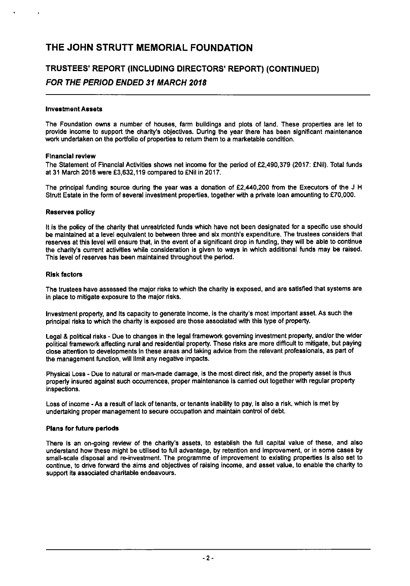## TRUSTEES' REPORT (INCLUDING DIRECTORS' REPORT) (CONTINUED) **FOR THE PERIOD ENDED 31 MARCH 2018**

### Investment Assets

The Foundation owns a number of houses, farm buildings and plots of land. These properties are let to provide income to support the charity's objectives. During the year there has been significant maintenance work undertaken on the portfolio of properties to return them to a marketable condition.

### Financial review

The Statement of Financial Activities shows net income for the period of 62,490,379 (2017: ENII). Total funds at 31 March 2018 were £3,632,119 compared to £Nil in 2017.

The principal funding source during the year was a donation of  $E2,440,200$  from the Executors of the J H Strutt Estate in the form of several investment properties, together with a private loan amounting to £70,000.

### Reserves policy

It is the policy of the charity that unrestricted funds which have not been designated for a specific use should be maintained at a level equivalent to between three and six month's expenditure. The trustees considers that reserves at this level will ensure that, in the event of a significant drop in funding, they will be able to continue the charity's current activities while consideration is given to ways in which additional funds may be raised. This level of reserves has been maintained throughout the period.

### Risk factors

The trustees have assessed the major risks to which the charity is exposed, and are satisfied that systems are in place to mitigate exposure to the major risks.

Investment property, and its capacity to generate income, is the charity's most important asset. As such the principal risks to which the charity is exposed are those associated with this type of property.

Legal & political risks - Due to changes in the legal framework governing investment property, and/or the wider political framework affecting rural and residential property. These risks are more difficult to mitigate, but paying close attention to developments in these areas and taking advice from the relevant professionals, as part of the management function, will limit any negative impacts.

Physical Loss- Due to natural or man-made damage, is the most direct risk, and the property asset is thus properly insured against such occurrences, proper maintenance Is cerned out together with regular property inspections.

Loss of income - As a result of lack of tenants, or tenants inability to pay, ls also a risk, which is met by undertaking proper management to secure occupation and maintain control of debt.

### Plans for future periods

There is an on-going review of the charity's assets, to establish the full capital value of these, and also understand how these might be utilised to full advantage, by retention and Improvement, or in some cases by small-scale disposal and re-investment. The programme of improvement to existing properties is also set to continue, to drive forward ths aims and objectives of raising income, and asset value, to enable the charity to support its associated charitable endeavours.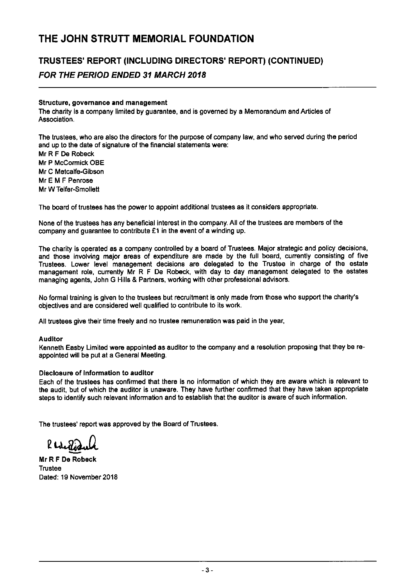## TRUSTEES' REPORT (INCLUDING DIRECTORS' REPORT) (CONTINUED)

### FOR THE PERIOD ENDED 31 MARCH 2018

### Structure, governance and management

The charity is a company limited by guarantee, and is governed by a Memorandum and Articles of Association,

The trustees, who are also the directors for the purpose of company law, and who served during the period and up to the date of signature of the financial statements were: Mr R F De Robeck Mr P McCormick OBE Mr C Metcalfe-Gibson Mr E M F Penrose Mr W Telfer-Smollett

The board of trustees has the power to appoint additional trustees as it considers appropriate.

None of the trustees has any beneficial interest in the company. All of the trustees are members of the company and guarantee to contribute E1 in the event of a winding up.

The charity is operated as a company controlled by a board of Trustees. Major strategic and policy decisions, and those involving major areas of expenditure are made by the full board, currently consisting of five Trustees. Lower level management decisions are delegated to the Trustee in charge of the estate management role, currently Mr R F De Robeck, with day to day management delegated to the estates managing agents, John G Hills & Partners, working with other professional advisors.

No formal training is given to the trustees but recruitment is only made from those who support the charity's objectives and are considered well qualified to contribute to its work.

All trustees give their time freely and no trustee remuneration was paid in the year,

### Auditor

Kenneth Easby Limited were appointed as auditor to the company and a resolution proposing that they be reappointed will be put at a General Meeting.

### Disclosure of information to auditor

Each of the trustees has confirmed that there ls no information of which they are aware which is relevant to the audit, but of which the auditor is unaware. They have further confirmed that they have taken appropriate steps to identify such relevant information and to establish that the auditor is aware of such information.

The trustees' report was approved by the Board of Trustees.

 $R$  total del

Mr R F De Robsck Trustee Dated: 19 November 2018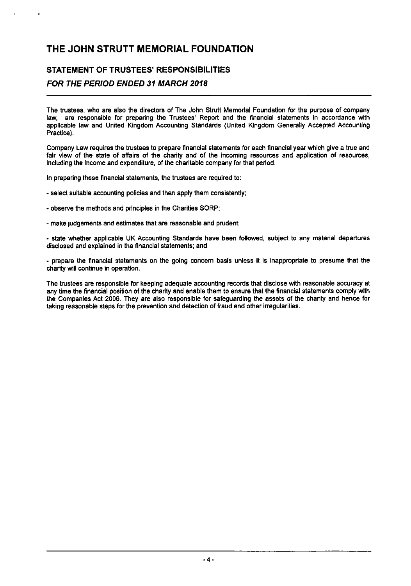## STATEMENT OF TRUSTEES' RESPONSIBILITIES

### **FOR THE PERIOD ENDED 31 MARCH 2018**

The trustees, who are also the directors of The John Strutt Memorial Foundation for the purpose of company law, are responsible for preparing the Trustees' Report and the financial statements in accordance with applicable law and United Kingdom Accounting Standards (United Kingdom Generally Accepted Accounting Practice).

Company Law requires the trustees to prepare financial statements for each financial year which give a true and fair view of the state of affairs of the charity and of the incoming resources and application of resources, including the income and expenditure, of the charitable company for that period.

In preparing these finandal statements, the trustees are required to:

- select suitable accounting poficies and then apply them consistently;

- observe the methods and principles in the Charities SORP;
- make judgements and estimates that are reasonable and prudent;

- state whether applicable UK Accounting Standards have been folhwed, subject to any material departures disdosed and explained in the financial statements; and

- prepare the flnandal statements on the going concern basis unless it is inappropriate to presume that the charity will continue in operation.

The trustees are responsible for keeping adequate accounting records that disclose with reasonable accuracy at any time the financial position of the charity and enable them to ensure that the financial statements comply with the Companies Act 2006. They are also responsible for safeguarding the assets of the charity and hence for taking reasonable steps for the prevention and detection of fraud and other irregularities.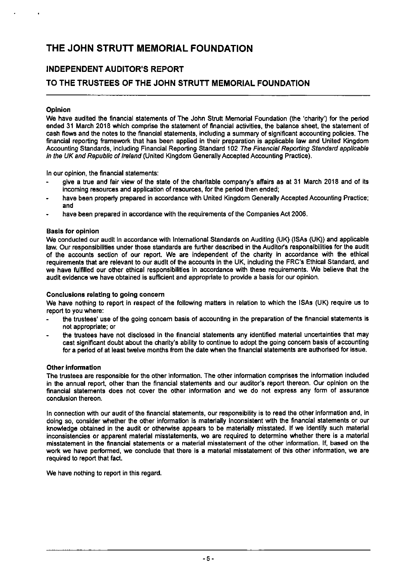### INDEPENDENT AUDITOR'S REPORT

### TO THE TRUSTEES OF THE JOHN STRUTT MEMORIAL FOUNDATION

### **Opinion**

We have audited the financial statements of The John Strutt Memorial Foundation (the 'charity') for the period ended 31 March 2018 which comprise the statement of financial activities, the balance sheet, the statement of cash flows and the notes to the financial statements, including a summary of significant accounting policies. The financial reporting framework that has been applied in their preparation is applicable law and United Kingdom Accounting Standards, including Financial Reporting Standard 102 The Financial Reporting Standard applicable in the UK and Republic of Ireland (United Kingdom Generally Accepted Accounting Practice).

In our opinion, the financial statements:

- give a true and fair view of the state of the charitable company's affairs as at 31 March 2018 and of its incoming resources and application of resources, for the period then ended;
- have been properly prepared in accordance with United Kingdom Generally Accepted Accounting Practice; and
- have been prepared in accordance with the requirements of the Companies Act 2006.

### Basis for opinion

We conducted our audit in accordance with International Standards on Auditing (UK) (ISAs (UK)) and applicable law. Our responsibilities under those standards are further described in the Auditor's responsibilities for the audit of the accounts section of our report. We are independent of the charity in accordance with the ethical requirements that are relevant to our audit of the accounts in the UK, induding the FRC's Ethical Standard, and we have fulfilled our other ethical responsiblfitles In accordance with these requirements. We believe that the audit evidence we have obtained is sufficient and appropriate to provide a basis for our opinion.

### Conclusions relating to going concern

We have nothing to report in respect of the following matters in relation to which the ISAs (UK) require us to report to you where:

- the trustees' use of the going concern basis of accounting in the preparation of the financial statements is not appropriate; or
- the trustees have not disclosed In the financial statements any identified material uncertainties that may cast significant doubt about the charity's ability to continue to adopt the going concern basis of accounting for a period of at least twelve months from the date when the financtal statements are authorised for issue.

### Other information

The trustees are responsible for the other information. The other information comprises the information included in the annual report, other than the financial statements and our auditor's report thereon. Our opinion on the financial statements does not cover the other information and we do not express any form of assurance condusion thereon.

In connection with our audit of the financial statements, our responsibility is to read the other information and, in doing so, consider whether the other information is materlafiy inconsistent with the financial statements or our knowledge obtained in the audit or otherwise appears to be materially misstated. If we identify such material inconsistencies or apparent material misstatements, we are required to determine whether there is a material misstatement in ths financtal statements or a material misstatement of the other information. If, based on the work we have performed, we conclude that there is a material misstatement of this other information, we are required to report that facL

We have nothing to report in this regard.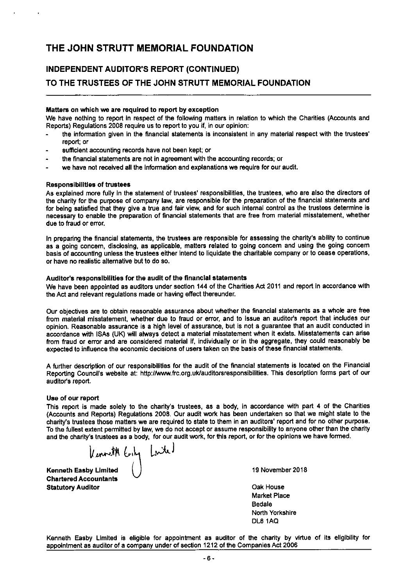## INDEPENDENT AUDITOR'S REPORT (CONTINUED) TO THE TRUSTEES OF THE JOHN STRUTT MEMORIAL FOUNDATION

### Matters on which we are required to report by exception

We have nothing to report in respect of the following matters in relation to which the Charities (Accounts and Reports) Regulations 2008 require us to report to you if, in our opinion:

- the information given in the financial statements is inconsistent in any material respect with the trustees' report; or
- sufficient accounting records have not been kept; or
- the financial statements are not in agreement with the accounting records; or
- we have not received all the information and explanations we require for our audit.

### Responsibilities of trustees

As explained more fully in the statement of trustees' responsibilities, the trustees, who are also the directors of the charity for the purpose of company law, are responsible for the preparation of the financial statements and for being satisfied that they give a true and fair view, and for such internal control as the trustees determine is necessary to enable the preparation of financial statements that are free from material misstatement, whether due to fraud or error.

In preparing the financial statements, the trustees are responsible for assessing the charity's ability to continue as a going concern, disclosing, as applicable, matters related to going concern and using the going concern basis of accounting unless the trustees either intend to liquidate the charitable company or to cease operations, or have no realistic alternative but to do so.

### Auditor's responsibilities for the audit of the financial statements

We have been appointed as auditors under section 144 of the Charities Act 2011 and report In accordance with the Act and relevant regulations made or having effect thereunder.

Our objectives are to obtain reasonable assurance about whether the financial statements as a whole are free from material misstatement, whether due to fraud or error, and to issue an auditor's report that includes our opinion. Reasonable assurance is a high level of assurance, but is not a guarantee that an audit conducted in accordance with ISAs (UK) will always detect a material misstatement when it exists. Misstatements can arise from fraud or error and are considered material If, individually or in the aggregate, they could reasonably be expected to influence the economic decisions of users taken on the basis of these financial statements.

A further descrlpfion of our responsibilities for the audit of the financial statements is located on the Financial Reporting Council's website at: http://www.frc.org.uk/auditorsresponsibilities. This description forms part of our auditor's report.

### Use of our report

This report is made solely to the charity's trustees, as a body, in accordance with part 4 of the Charities (Accounts and Reports) Regulations 2008. Our audit work has been undertaken so that we might state to the charity's trustees those matters we are required to state to them in an auditors' report and for no other purpose. To the fullest extent permitted by law, we do not accept or assume responsibility to anyone other than the charity and the charity's trustees as a body, for our audit work, for this report, or for the opinions we have formed.

kenneth Corby Linted<br>Kenneth Easby Limited ()

Chartered Accountants Statutory Auditor

19 November 2018

Oak House Market Place **Bedale** North Yorkshire DL8 1AQ

Kenneth Easby Limited is eligible for appointment as auditor of the charity by virtue of its eligibility for appointment as auditor of a company under of section 1212 of the Companies Act 2006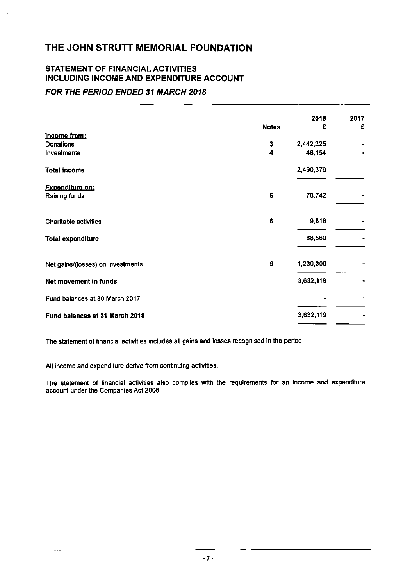$\ddot{\phantom{1}}$ 

### STATEMENT OF FINANCIAL ACTIVITIES INCLUDING INCOME AND EXPENDITURE ACCOUNT FOR THE PERIOD ENDED 31 MARCH 2018

|                                   |              | 2018      | 2017           |
|-----------------------------------|--------------|-----------|----------------|
|                                   | <b>Notes</b> | £         | £              |
| Income from:                      |              |           |                |
| Donations                         | 3            | 2,442,225 |                |
| Investments                       | 4            | 48,154    |                |
| <b>Total income</b>               |              | 2,490,379 |                |
| <b>Expenditure on:</b>            |              |           |                |
| Raising funds                     | 5            | 78,742    |                |
| <b>Charitable activities</b>      | 6            | 9,818     |                |
|                                   |              |           |                |
| <b>Total expenditure</b>          |              | 88,560    |                |
| Net gains/(losses) on investments | 9            | 1,230,300 |                |
|                                   |              |           |                |
| Net movement in funds             |              | 3,632,119 |                |
| Fund balances at 30 March 2017    |              |           |                |
| Fund balances at 31 March 2018    |              | 3,632,119 | $\blacksquare$ |

The statement of financial activities includes all gains and losses recognised in the period.

All income and expenditure derive from continuing activities.

The statement of financial activifies also complies with the requirements for an income and expenditure account under the Companies Act 2006.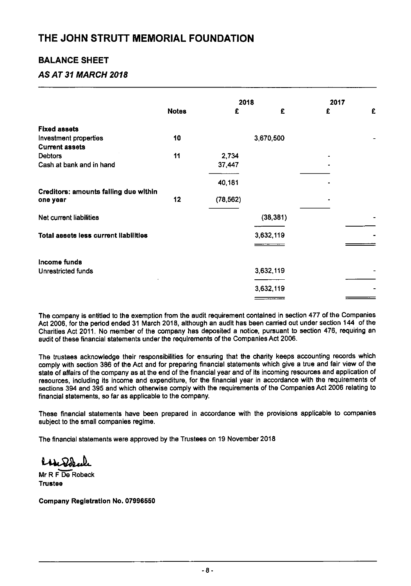### BALANCE SHEET

### AS AT 31 MARCH 2018

|                                       |              | 2018      |           | 2017 |   |
|---------------------------------------|--------------|-----------|-----------|------|---|
|                                       | <b>Notes</b> | £         | £         | £    | £ |
| <b>Fixed assets</b>                   |              |           |           |      |   |
| Investment properties                 | 10           |           | 3,670,500 |      |   |
| <b>Current assets</b>                 |              |           |           |      |   |
| <b>Debtors</b>                        | 11           | 2,734     |           |      |   |
| Cash at bank and in hand              |              | 37,447    |           |      |   |
|                                       |              | 40,181    |           |      |   |
| Creditors: amounts falling due within |              |           |           |      |   |
| one year                              | 12           | (78, 562) |           |      |   |
| Net current liabilities               |              |           | (38, 381) |      |   |
| Total assets less current liabilities |              |           | 3,632,119 |      |   |
|                                       |              |           |           |      |   |
| Income funds                          |              |           |           |      |   |
| <b>Unrestricted funds</b>             |              |           | 3,632,119 |      |   |
|                                       |              |           | 3,632,119 |      |   |
|                                       |              |           | ________  |      |   |

The company is entitled to the exemption from the audit requirement contained in section 477 of the Companies Act 2006, for the period ended 31 March 2018, although an audit has been canied out under section 144 of the Charities Act 2011. No member of the company has deposited a notice, pursuant to section 476, requiring an audit of these financial statements under the requirements of the Companies Act 2006.

The trustees acknowledge their responsibilities for ensuring that the charity keeps accounting records which comply with section 386 of the Act and for preparing financial statements which give a true and fair view of the state of affairs of the company as at the end of the financial year and of its incoming resources and application of resources, including its income and expenditure, for the financial year in accordance with the requirements of sections 394 and 395 and which otherwise comply with the requirements of the Companies Act 2006 relating to financial statements, so far as applicable to the company.

These financial statements have been prepared in accordance with the provisions applicable to companies subject to the small companies regime.

The financial statements were approved by the Trustees on 19 November 2018

Lis Dobale

Mr R F De Robeck **Trustee** 

Company Registration No. 07986650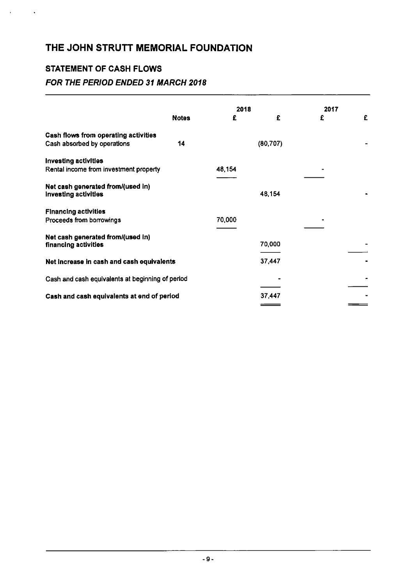## STATEMENT OF CASH FLOWS

 $\mathbf{a} = \mathbf{a} \times \mathbf{a}$ 

### FOR THE PERIOD ENDED 31 MARCH 2018

|                                                           |              | 2018   |           | 2017 |   |
|-----------------------------------------------------------|--------------|--------|-----------|------|---|
|                                                           | <b>Notes</b> | £      | £         | £    | £ |
| Cash flows from operating activities                      |              |        |           |      |   |
| Cash absorbed by operations                               | 14           |        | (80, 707) |      |   |
| <b>Investing activities</b>                               |              |        |           |      |   |
| Rental income from investment property                    |              | 48,154 |           |      |   |
|                                                           |              |        |           |      |   |
| Net cash generated from/(used in)<br>investing activities |              |        | 48,154    |      |   |
| <b>Financing activities</b>                               |              |        |           |      |   |
| Proceeds from borrowings                                  |              | 70,000 |           |      |   |
| Net cash generated from/(used in)                         |              |        |           |      |   |
| financing activities                                      |              |        | 70,000    |      |   |
|                                                           |              |        |           |      |   |
| Net increase in cash and cash equivalents                 |              |        | 37,447    |      |   |
| Cash and cash equivalents at beginning of period          |              |        |           |      |   |
|                                                           |              |        |           |      |   |
| Cash and cash equivalents at end of period                |              |        | 37,447    |      |   |
|                                                           |              |        |           |      |   |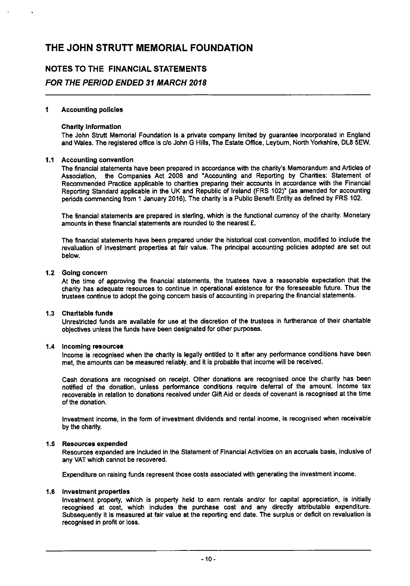## NOTES TO THE FINANCIAL STATEMENTS FOR THE PERIOD ENDED 31 MARCH 2018

#### $\mathbf{1}$ Accounting policies

### Charity Information

The John Strutt Memorial Foundation is a private company fimlted by guarantee incorporated in England and Wales. The registered office is c/o John G Hills, The Estate Office, Leyburn, North Yorkshire, DL8 5EW.

### 1.1 Accounting convention

The financial statements have been prepared in accordance with the charity's Memorandum and Articles of Association, the Companies Act 2006 and 'Accounting and Reporting by Charities: Statement of Recommended Practice applicable to charities preparing their accounts in accordance with the Financial Reporting Standard applicable in ths UK and Republic of Ireland (FRS 102)" (as amended for accounting periods commencing from 1 January 2016). The charity is a Public Benefit Entity as defined by FRS 102.

The financial statements are prepared in sterling, which is the functional currency of the charity. Monetary amounts in these financial statements are rounded to the nearest £.

The financial statements have been prepared under the historical cost convention, modified to include the revaluation of investment properties at fair value. The principal accounting policies adopted are set out below.

### 1.2 Going concern

At the time of approving the financial statements, the trustees have a reasonable expectation that the charity has adequate resources to continue in operational existence for the foreseeable future. Thus the trustees continue to adopt the going concern basis of accounting in preparing the financial statements.

### 1.3 Charitable funds

Unrestricted funds are available for use at the discretion of the trustees in furtherance of their charitable objectives unless the funds have been designated for other purposes.

### 1.4 Incoming resources

Income is recognised when the charity is legally entitled to It afier any performance conditions have been met, the amounts can be measured reliably, and it is probable that income will be received.

Cash donations are recognised on receipt. Other donations are recognised once the charity has been notified of the donation, unless performance conditions require deferral of the amount. Income tax recoverable in relation to donations received under Gift Aid or deeds of covenant is recognised at ths time of the donation.

Investment income, in the form of investment dividends and rental income, is recognised when receivable by the charity.

### 1.5 Resources expended

Resources expended are included in the Statement of Financial Activities on an accruals basis, indusive of any VAT which cannot be recovered.

Expenditure on raising funds represent those costs associated with generating the investment income.

### 1.6 Investment properties

Investment property, which is property held to sam rentals and/or for capital appreciation, is initially recognised at cost, which includes the purchase cost and any directly attributable expenditure. Subsequently it is measured at fair value at the reporting end date. The surplus or deficit on revaluation is recognised in profit or loss.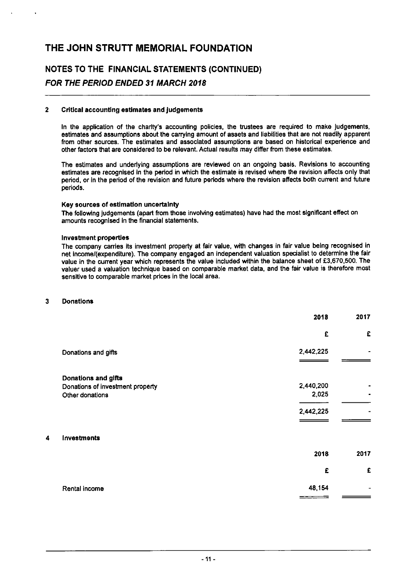### NOTES TO THE FINANCIAL STATEMENTS (CONTINUED) FOR THE PERIOD ENDED 31 MARCH 2018

### 2 Critical accounting estimates and judgements

In the application of the charity's accounting policies, the trustees are required to make Judgements, estimates and assumptions about the carrying amount of assets and liabilities that are not readily apparent from other sources. The estimates and associated assumptions are based on historical experience and other factors that are considered to be relevant. Actual results may difier from these estimates.

The estimates and underlying assumptions are reviewed on an ongoing basis. Revisions to accounting estimates are recognised in the period in which the estimate is revised where the revision affects only that period, or in the period of the revision and future periods where the revision affects both current and future periods.

### Key sources of estimation uncertainty

The following judgements (apart from those involving estimates) have had the most significant effect on amounts recognised in the financial statements.

#### Investment properties

The company carries its investment property at fair value, with changes in fair value being recognised in net income/(expenditure). The company engaged an Independent valuation specialist to determine the fair value in the current year which represents the value included within the balance sheet of £3,670,500. The valuer used a valuation technique based on comparable market data, and the fair value is therefore most sensitive to comparable market prices in the local area.

#### 3 Donations

|   |                                                         | 2018      | 2017 |
|---|---------------------------------------------------------|-----------|------|
|   |                                                         | £         | £    |
|   | Donations and gifts                                     | 2,442,225 |      |
|   |                                                         |           |      |
|   | Donations and gifts<br>Donations of investment property | 2,440,200 |      |
|   | Other donations                                         | 2,025     |      |
|   |                                                         | 2,442,225 |      |
| 4 | Investments                                             |           |      |
|   |                                                         | 2018      | 2017 |
|   |                                                         | £         | £    |
|   | Rental income                                           | 48,154    |      |
|   |                                                         |           |      |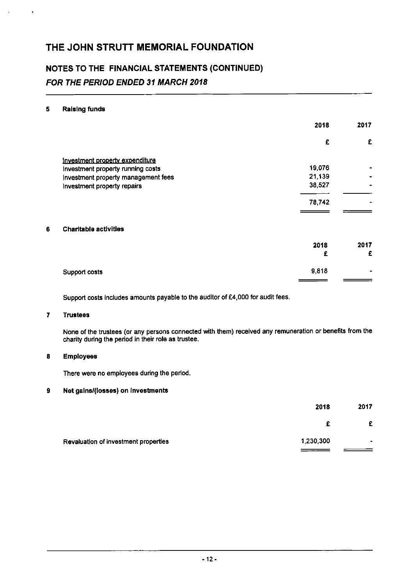## NOTES TO THE FINANCIAL STATEMENTS (CONTINUED) FOR THE PERIOD ENDED 31 MARCH 2018

### 5 Raising funds

 $\cdot$ 

|   |                                     | 2018   | 2017 |
|---|-------------------------------------|--------|------|
|   |                                     | £      | £    |
|   | Investment property expenditure     |        |      |
|   | Investment property running costs   | 19,076 |      |
|   | Investment property management fees | 21,139 |      |
|   | Investment property repairs         | 38.527 |      |
|   |                                     | 78,742 |      |
|   |                                     |        |      |
| 6 | <b>Charitable activities</b>        |        |      |
|   |                                     | 2018   | 2017 |
|   |                                     | £      | £    |
|   | Support costs                       | 9,818  |      |
|   |                                     |        |      |

Support costs includes amounts payable to the auditor of £4,000 for audit fees.

### 7 Trustees

None of the trustees (or any persons connected with them) received any remuneration or benefits from the charity during the period in their role as trustee.

### 8 Employees

There were no employees during the period.

### 9 Net gains/(losses) on investments

|                                      | 2018      | 2017      |
|--------------------------------------|-----------|-----------|
|                                      | £         | £         |
| Revaluation of investment properties | 1,230,300 | $\bullet$ |
|                                      |           |           |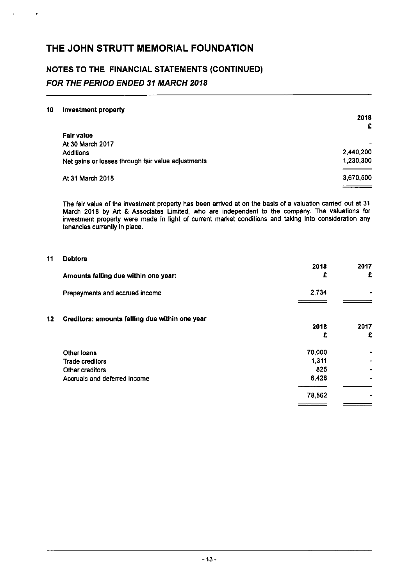### NOTES TO THE FINANCIAL STATEMENTS (CONTINUED) FOR THE PERIOD ENDED 31 MARCH 2018

### 10 Investment property

 $\bullet$ 

|                                                    | 2018      |
|----------------------------------------------------|-----------|
|                                                    | £         |
| <b>Fair value</b>                                  |           |
| At 30 March 2017                                   |           |
| <b>Additions</b>                                   | 2,440,200 |
| Net gains or losses through fair value adjustments | 1,230,300 |
| At 31 March 2018                                   | 3,670,500 |
|                                                    |           |

The fair value of the investment property has been arrived at on the basis of a valuation cerned out at 31 March 2018 by Art & Associates Limited, who are independent to the company. The valuations for investment property were made in light of current market conditions and taking into consideration any tenancies currently in place.

### 11 Debtors

|    |                                                | 2018   | 2017 |
|----|------------------------------------------------|--------|------|
|    | Amounts falling due within one year:           | £      | £    |
|    | Prepayments and accrued income                 | 2,734  |      |
|    |                                                |        |      |
| 12 | Creditors: amounts falling due within one year |        |      |
|    |                                                | 2018   | 2017 |
|    |                                                | £      | £    |
|    | Other loans                                    | 70,000 |      |
|    | <b>Trade creditors</b>                         | 1,311  |      |
|    | Other creditors                                | 825    |      |
|    | Accruals and deferred income                   | 6,426  |      |
|    |                                                | 78,562 |      |
|    |                                                |        |      |